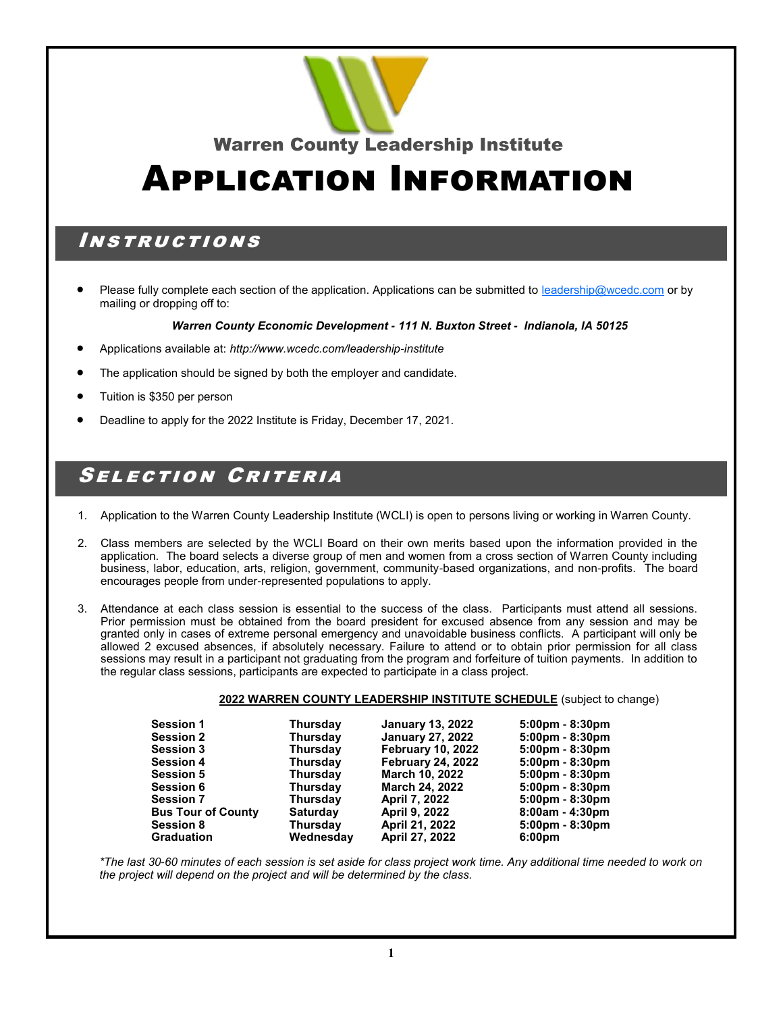

Warren County Leadership Institute

# Application Information

#### Instructions

Please fully complete each section of the application. Applications can be submitted to [leadership@wcedc.com](mailto:leadership@wcedc.com) or by mailing or dropping off to:

#### *Warren County Economic Development - 111 N. Buxton Street - Indianola, IA 50125*

- Applications available at: *http://www.wcedc.com/leadership-institute*
- The application should be signed by both the employer and candidate.
- Tuition is \$350 per person
- Deadline to apply for the 2022 Institute is Friday, December 17, 2021.

### Selection Criteria

- 1. Application to the Warren County Leadership Institute (WCLI) is open to persons living or working in Warren County.
- 2. Class members are selected by the WCLI Board on their own merits based upon the information provided in the application. The board selects a diverse group of men and women from a cross section of Warren County including business, labor, education, arts, religion, government, community-based organizations, and non-profits. The board encourages people from under-represented populations to apply.
- 3. Attendance at each class session is essential to the success of the class. Participants must attend all sessions. Prior permission must be obtained from the board president for excused absence from any session and may be granted only in cases of extreme personal emergency and unavoidable business conflicts. A participant will only be allowed 2 excused absences, if absolutely necessary. Failure to attend or to obtain prior permission for all class sessions may result in a participant not graduating from the program and forfeiture of tuition payments. In addition to the regular class sessions, participants are expected to participate in a class project.

#### **2022 WARREN COUNTY LEADERSHIP INSTITUTE SCHEDULE** (subject to change)

| <b>Session 1</b>          | <b>Thursday</b> | <b>January 13, 2022</b>  | $5:00 \text{pm} - 8:30 \text{pm}$ |
|---------------------------|-----------------|--------------------------|-----------------------------------|
| <b>Session 2</b>          | <b>Thursday</b> | <b>January 27, 2022</b>  | $5:00 \text{pm} - 8:30 \text{pm}$ |
| <b>Session 3</b>          | <b>Thursday</b> | <b>February 10, 2022</b> | $5:00 \text{pm} - 8:30 \text{pm}$ |
| <b>Session 4</b>          | <b>Thursday</b> | <b>February 24, 2022</b> | $5:00 \text{pm} - 8:30 \text{pm}$ |
| Session 5                 | <b>Thursday</b> | March 10, 2022           | $5:00 \text{pm} - 8:30 \text{pm}$ |
| <b>Session 6</b>          | <b>Thursday</b> | <b>March 24, 2022</b>    | $5:00 \text{pm} - 8:30 \text{pm}$ |
| Session 7                 | <b>Thursday</b> | <b>April 7, 2022</b>     | $5:00 \text{pm} - 8:30 \text{pm}$ |
| <b>Bus Tour of County</b> | <b>Saturday</b> | <b>April 9, 2022</b>     | $8:00am - 4:30dm$                 |
| <b>Session 8</b>          | <b>Thursday</b> | April 21, 2022           | $5:00 \text{pm} - 8:30 \text{pm}$ |
| Graduation                | Wednesday       | <b>April 27, 2022</b>    | 6:00 <sub>pm</sub>                |
|                           |                 |                          |                                   |

*\*The last 30-60 minutes of each session is set aside for class project work time. Any additional time needed to work on the project will depend on the project and will be determined by the class.*